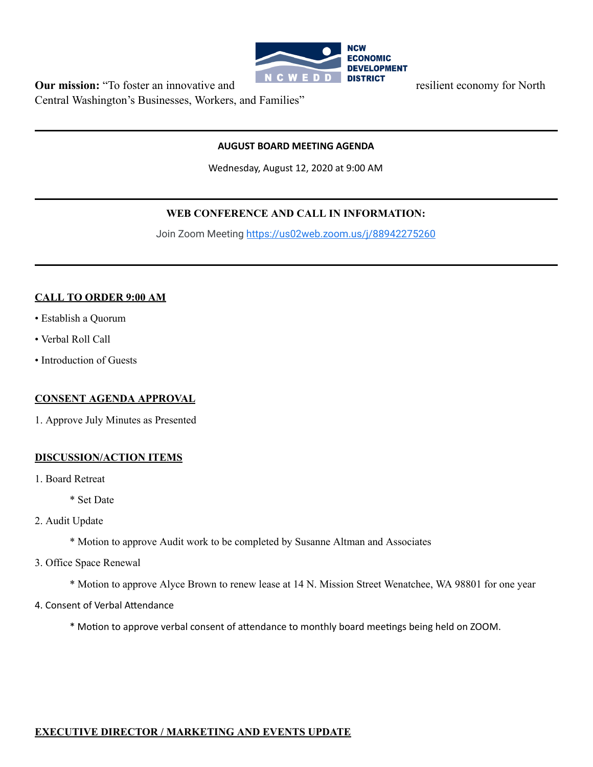

**Our mission:** "To foster an innovative and **Report Figure 10 D INC WE D D DISTRICT** resilient economy for North Central Washington's Businesses, Workers, and Families"

## **AUGUST BOARD MEETING AGENDA**

Wednesday, August 12, 2020 at 9:00 AM

## **WEB CONFERENCE AND CALL IN INFORMATION:**

Join Zoom Meeting<https://us02web.zoom.us/j/88942275260>

#### **CALL TO ORDER 9:00 AM**

- Establish a Quorum
- Verbal Roll Call
- Introduction of Guests

## **CONSENT AGENDA APPROVAL**

1. Approve July Minutes as Presented

## **DISCUSSION/ACTION ITEMS**

1. Board Retreat

\* Set Date

- 2. Audit Update
	- \* Motion to approve Audit work to be completed by Susanne Altman and Associates
- 3. Office Space Renewal

\* Motion to approve Alyce Brown to renew lease at 14 N. Mission Street Wenatchee, WA 98801 for one year

4. Consent of Verbal Attendance

\* Motion to approve verbal consent of attendance to monthly board meetings being held on ZOOM.

## **EXECUTIVE DIRECTOR / MARKETING AND EVENTS UPDATE**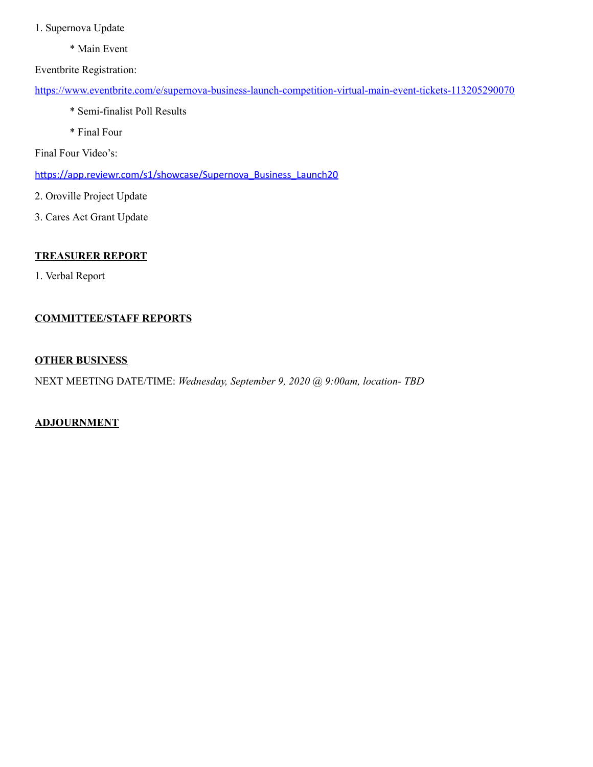- 1. Supernova Update
	- \* Main Event

Eventbrite Registration:

<https://www.eventbrite.com/e/supernova-business-launch-competition-virtual-main-event-tickets-113205290070>

- \* Semi-finalist Poll Results
- \* Final Four

Final Four Video's:

https://app.reviewr.com/s1/showcase/Supernova\_Business\_Launch20

- 2. Oroville Project Update
- 3. Cares Act Grant Update

## **TREASURER REPORT**

1. Verbal Report

## **COMMITTEE/STAFF REPORTS**

#### **OTHER BUSINESS**

NEXT MEETING DATE/TIME: *Wednesday, September 9, 2020 @ 9:00am, location- TBD*

## **ADJOURNMENT**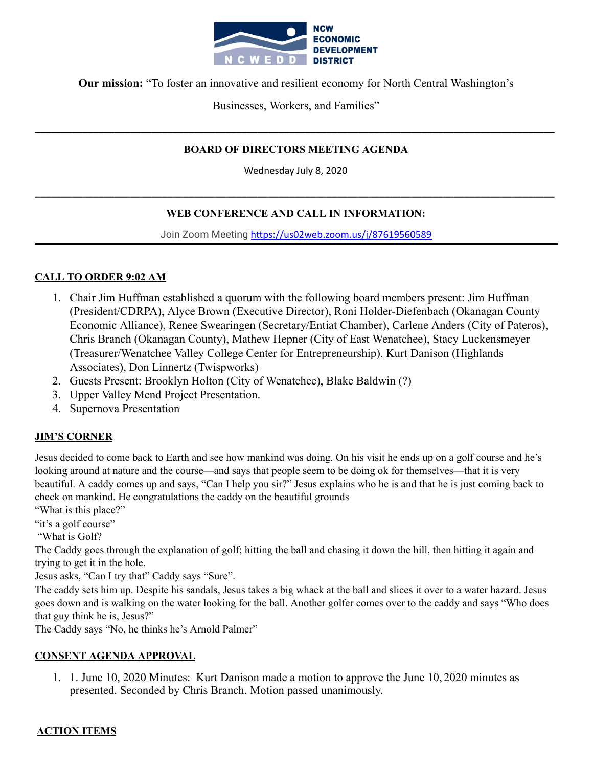

**Our mission:** "To foster an innovative and resilient economy for North Central Washington's

Businesses, Workers, and Families"

## **BOARD OF DIRECTORS MEETING AGENDA**

**\_\_\_\_\_\_\_\_\_\_\_\_\_\_\_\_\_\_\_\_\_\_\_\_\_\_\_\_\_\_\_\_\_\_\_\_\_\_\_\_\_\_\_\_\_\_\_\_\_\_\_\_\_\_\_\_\_\_\_\_\_\_\_\_\_\_\_\_\_\_\_\_\_\_\_\_\_\_\_\_\_\_\_\_\_\_\_\_\_\_\_\_\_\_\_\_\_\_**

Wednesday July 8, 2020

## **WEB CONFERENCE AND CALL IN INFORMATION:**

**\_\_\_\_\_\_\_\_\_\_\_\_\_\_\_\_\_\_\_\_\_\_\_\_\_\_\_\_\_\_\_\_\_\_\_\_\_\_\_\_\_\_\_\_\_\_\_\_\_\_\_\_\_\_\_\_\_\_\_\_\_\_\_\_\_\_\_\_\_\_\_\_\_\_\_\_\_\_\_\_\_\_\_\_\_\_\_\_\_\_\_\_\_\_\_\_\_\_**

Join Zoom Meeting https://us02web.zoom.us/j/87619560589

## **CALL TO ORDER 9:02 AM**

- 1. Chair Jim Huffman established a quorum with the following board members present: Jim Huffman (President/CDRPA), Alyce Brown (Executive Director), Roni Holder-Diefenbach (Okanagan County Economic Alliance), Renee Swearingen (Secretary/Entiat Chamber), Carlene Anders (City of Pateros), Chris Branch (Okanagan County), Mathew Hepner (City of East Wenatchee), Stacy Luckensmeyer (Treasurer/Wenatchee Valley College Center for Entrepreneurship), Kurt Danison (Highlands Associates), Don Linnertz (Twispworks)
- 2. Guests Present: Brooklyn Holton (City of Wenatchee), Blake Baldwin (?)
- 3. Upper Valley Mend Project Presentation.
- 4. Supernova Presentation

## **JIM'S CORNER**

Jesus decided to come back to Earth and see how mankind was doing. On his visit he ends up on a golf course and he's looking around at nature and the course—and says that people seem to be doing ok for themselves—that it is very beautiful. A caddy comes up and says, "Can I help you sir?" Jesus explains who he is and that he is just coming back to check on mankind. He congratulations the caddy on the beautiful grounds

"What is this place?"

"it's a golf course"

"What is Golf?

The Caddy goes through the explanation of golf; hitting the ball and chasing it down the hill, then hitting it again and trying to get it in the hole.

Jesus asks, "Can I try that" Caddy says "Sure".

The caddy sets him up. Despite his sandals, Jesus takes a big whack at the ball and slices it over to a water hazard. Jesus goes down and is walking on the water looking for the ball. Another golfer comes over to the caddy and says "Who does that guy think he is, Jesus?"

The Caddy says "No, he thinks he's Arnold Palmer"

## **CONSENT AGENDA APPROVAL**

1. 1. June 10, 2020 Minutes: Kurt Danison made a motion to approve the June 10, 2020 minutes as presented. Seconded by Chris Branch. Motion passed unanimously.

## **ACTION ITEMS**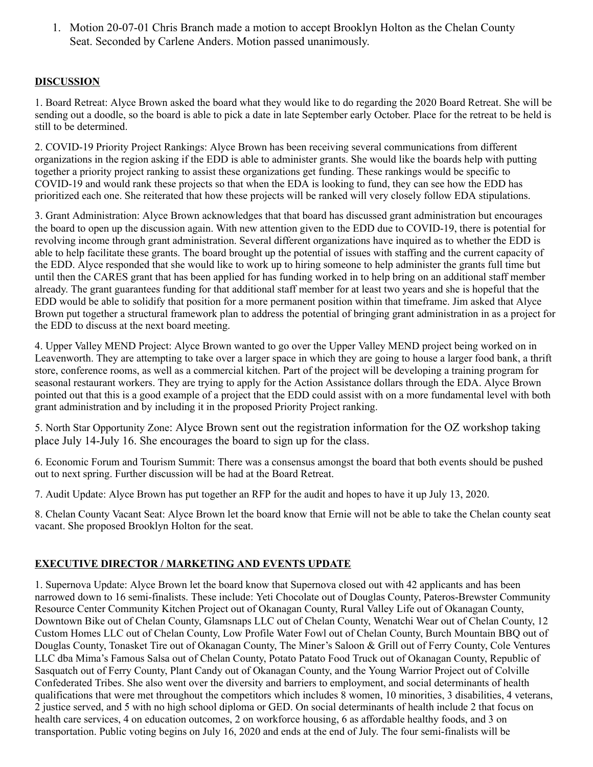1. Motion 20-07-01 Chris Branch made a motion to accept Brooklyn Holton as the Chelan County Seat. Seconded by Carlene Anders. Motion passed unanimously.

# **DISCUSSION**

1. Board Retreat: Alyce Brown asked the board what they would like to do regarding the 2020 Board Retreat. She will be sending out a doodle, so the board is able to pick a date in late September early October. Place for the retreat to be held is still to be determined.

2. COVID-19 Priority Project Rankings: Alyce Brown has been receiving several communications from different organizations in the region asking if the EDD is able to administer grants. She would like the boards help with putting together a priority project ranking to assist these organizations get funding. These rankings would be specific to COVID-19 and would rank these projects so that when the EDA is looking to fund, they can see how the EDD has prioritized each one. She reiterated that how these projects will be ranked will very closely follow EDA stipulations.

3. Grant Administration: Alyce Brown acknowledges that that board has discussed grant administration but encourages the board to open up the discussion again. With new attention given to the EDD due to COVID-19, there is potential for revolving income through grant administration. Several different organizations have inquired as to whether the EDD is able to help facilitate these grants. The board brought up the potential of issues with staffing and the current capacity of the EDD. Alyce responded that she would like to work up to hiring someone to help administer the grants full time but until then the CARES grant that has been applied for has funding worked in to help bring on an additional staff member already. The grant guarantees funding for that additional staff member for at least two years and she is hopeful that the EDD would be able to solidify that position for a more permanent position within that timeframe. Jim asked that Alyce Brown put together a structural framework plan to address the potential of bringing grant administration in as a project for the EDD to discuss at the next board meeting.

4. Upper Valley MEND Project: Alyce Brown wanted to go over the Upper Valley MEND project being worked on in Leavenworth. They are attempting to take over a larger space in which they are going to house a larger food bank, a thrift store, conference rooms, as well as a commercial kitchen. Part of the project will be developing a training program for seasonal restaurant workers. They are trying to apply for the Action Assistance dollars through the EDA. Alyce Brown pointed out that this is a good example of a project that the EDD could assist with on a more fundamental level with both grant administration and by including it in the proposed Priority Project ranking.

5. North Star Opportunity Zone: Alyce Brown sent out the registration information for the OZ workshop taking place July 14-July 16. She encourages the board to sign up for the class.

6. Economic Forum and Tourism Summit: There was a consensus amongst the board that both events should be pushed out to next spring. Further discussion will be had at the Board Retreat.

7. Audit Update: Alyce Brown has put together an RFP for the audit and hopes to have it up July 13, 2020.

8. Chelan County Vacant Seat: Alyce Brown let the board know that Ernie will not be able to take the Chelan county seat vacant. She proposed Brooklyn Holton for the seat.

# **EXECUTIVE DIRECTOR / MARKETING AND EVENTS UPDATE**

1. Supernova Update: Alyce Brown let the board know that Supernova closed out with 42 applicants and has been narrowed down to 16 semi-finalists. These include: Yeti Chocolate out of Douglas County, Pateros-Brewster Community Resource Center Community Kitchen Project out of Okanagan County, Rural Valley Life out of Okanagan County, Downtown Bike out of Chelan County, Glamsnaps LLC out of Chelan County, Wenatchi Wear out of Chelan County, 12 Custom Homes LLC out of Chelan County, Low Profile Water Fowl out of Chelan County, Burch Mountain BBQ out of Douglas County, Tonasket Tire out of Okanagan County, The Miner's Saloon & Grill out of Ferry County, Cole Ventures LLC dba Mima's Famous Salsa out of Chelan County, Potato Patato Food Truck out of Okanagan County, Republic of Sasquatch out of Ferry County, Plant Candy out of Okanagan County, and the Young Warrior Project out of Colville Confederated Tribes. She also went over the diversity and barriers to employment, and social determinants of health qualifications that were met throughout the competitors which includes  $\bar{8}$  women, 10 minorities, 3 disabilities, 4 veterans, 2 justice served, and 5 with no high school diploma or GED. On social determinants of health include 2 that focus on health care services, 4 on education outcomes, 2 on workforce housing, 6 as affordable healthy foods, and 3 on transportation. Public voting begins on July 16, 2020 and ends at the end of July. The four semi-finalists will be